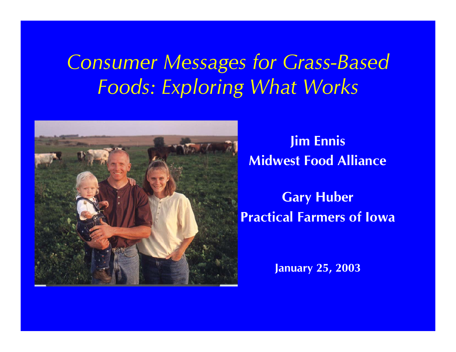#### *Consumer Messages for Grass -Based Foods: Exploring What Works*



**Jim Ennis Midwest Food Alliance**

**Gary Huber Practical Farmers of Iowa**

**January 25, 2003**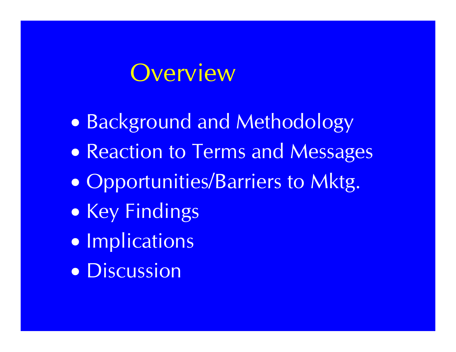#### Overview

- $\bullet$ Background and Methodology
- $\bullet$ **• Reaction to Terms and Messages**
- $\bullet$ Opportunities/Barriers to Mktg.
- $\bullet$ • Key Findings
- $\bullet$ **• Implications**
- Discussion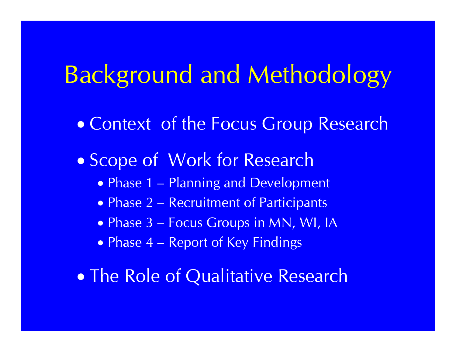## Background and Methodology

- $\bullet$ Context of the Focus Group Research
- Scope of Work for Research
	- Phase 1 Planning and Development
	- Phase 2 Recruitment of Participants
	- Phase 3 Focus Groups in MN, WI, IA
	- $\bullet$  Phase 4  $-$ **- Report of Key Findings**
- $\bullet$ **• The Role of Qualitative Research**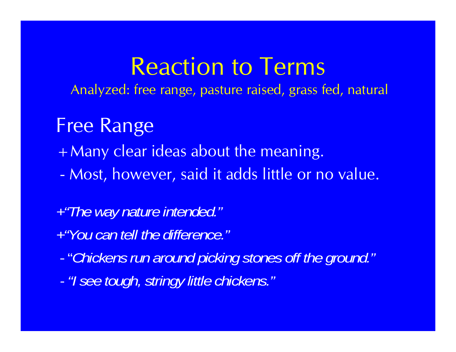Analyzed: free range, pasture raised, grass fed, natural

#### Free Range

- +Many clear ideas about the meaning.
- -Most, however, said it adds little or no value.

#### *+"The way nature intended."*

- *+"You can tell the difference. "*
- -"*Chickens run around picking stones off the ground."*
- *-*- "I see tough, stringy little chickens."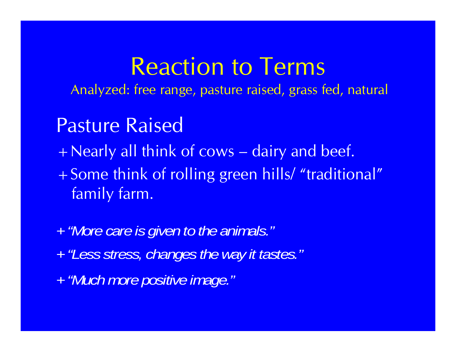Analyzed: free range, pasture raised, grass fed, natural

#### Pasture Raised

- +Nearly all think of cows  $\sim$ - dairy and beef.
- +Some think of rolling green hills/ "traditional" family farm.
- *<sup>+</sup>"More care is given to the animals." <sup>+</sup>"Less stress, changes the way it tastes." <sup>+</sup>"Much more p g ositive image. "*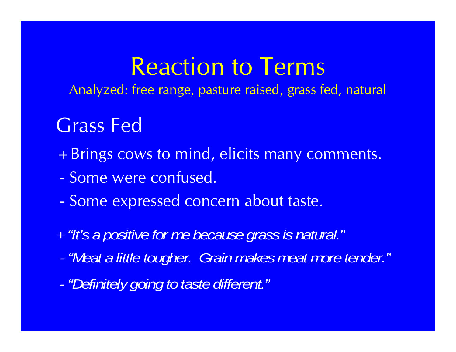Analyzed: free range, pasture raised, grass fed, natural

#### Grass Fed

- + Brings cows to mind, elicits many comments.
- Some were confused.
- Some expressed concern about taste.
- *<sup>+</sup>"It's a p g ositive for me because grass is natural. "*
- *- "Meat a little tougher. Grain makes meat more tender."*
- *- "Definitely going to taste different " Definitely different.*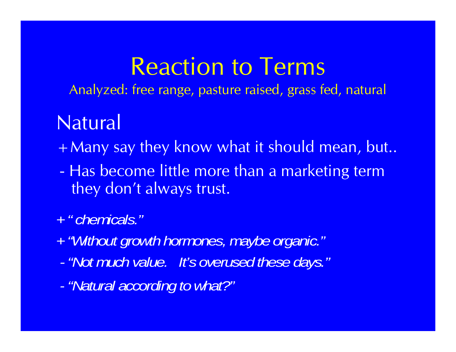Analyzed: free range, pasture raised, grass fed, natural

#### **Natural**

+ Many say they know what it should mean, but..

- - Has become little more than a marketing term they don't always trust.
- *+ " chemicals."*
- *+ Without growth hormones "Without hormones maybe organic " , organic.*
- *- "Not much value. It's overused these days."*
- "Natural according to what?"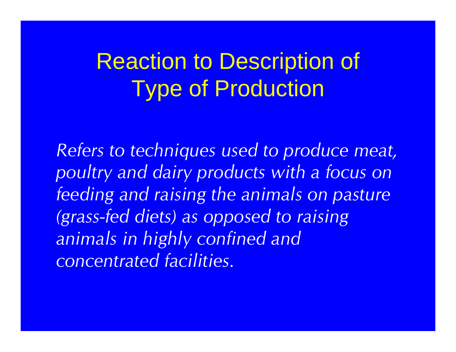*Refers to techniques used to produce meat, poultry and dairy products with a focus on feeding and raising the animals on pasture (grass-fed diets) as opposed to raising animals in highly confined and concentrated facilities.*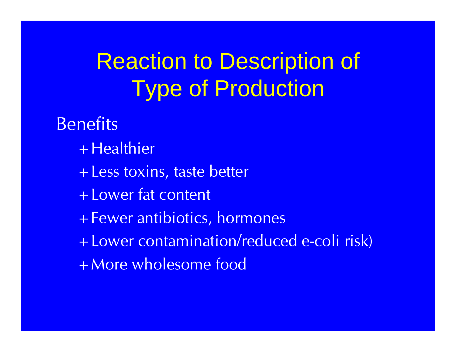**Benefits** + Healthier +Less toxins, taste better +Lower fat content +Fewer antibiotics, hormones +Lower contamination/reduced e -coli risk) +More wholesome food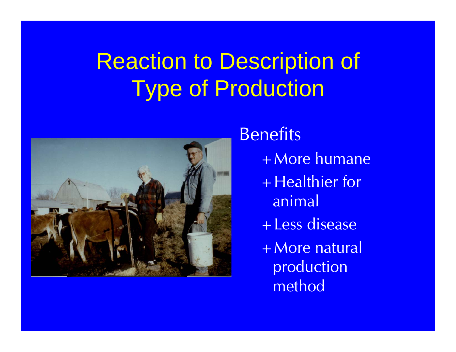

#### Benefits

- +More humane
- + Healthier for animal
- +Less disease
- + More natural production method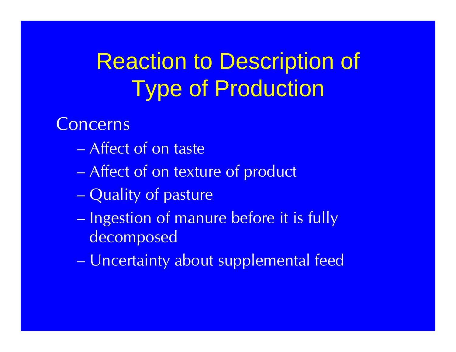#### **Concerns**

- Affect of on taste
- –Affect of on texture of product
- Quality of pasture
- Ingestion of manure before it is fully decomposed
- Uncertainty about supplemental feed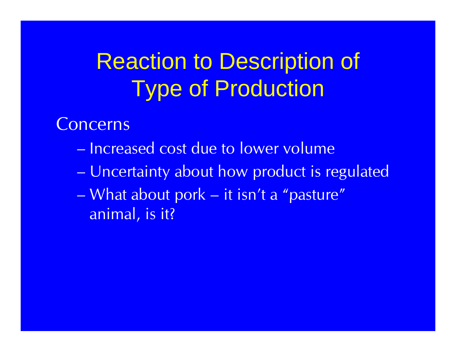**Concerns** 

- Increased cost due to lower volume
- –Uncertainty about how product is regulated
- What about pork – it isn't a "pasture" animal, is it?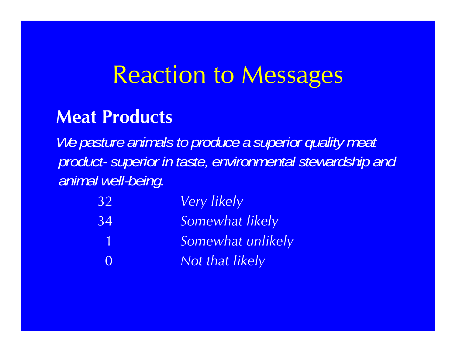#### **Meat Products**

We pasture animals to produce a superior quality meat *product- superior in taste, environmental stewardship and animal well-being.*

| <b>32</b> | <b>Very likely</b> |
|-----------|--------------------|
| 34        | Somewhat likely    |
| -1        | Somewhat unlikely  |
| $\Omega$  | Not that likely    |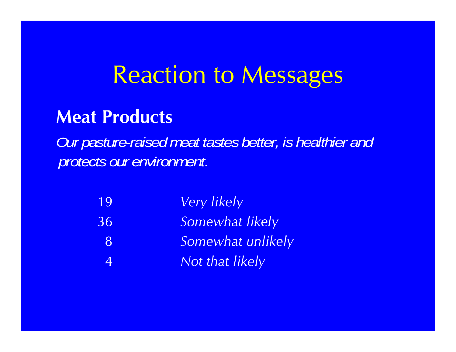#### **Meat Products**

*Our pasture-raised meat tastes better, is healthier and protects our environment.*

| 19             | <b>Very likely</b> |
|----------------|--------------------|
| 36             | Somewhat likely    |
| <b>78</b>      | Somewhat unlikely  |
| $\overline{4}$ | Not that likely    |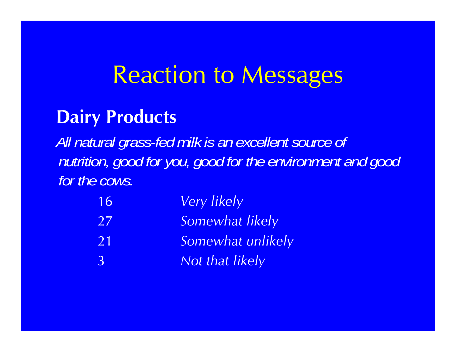#### **Dairy Products**

*All natural grass-fed milk is an excellent source of nutrition, good for you, good for the environment and good for the cows.*

| 16             | <b>Very likely</b> |
|----------------|--------------------|
| 27             | Somewhat likely    |
| 21             | Somewhat unlikely  |
| $\overline{3}$ | Not that likely    |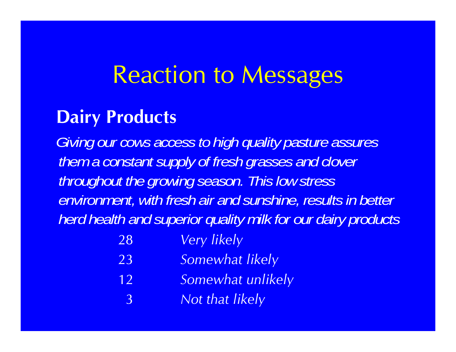#### **Dairy Products**

*Giving our cows access to high quality pasture assures them a constant suppl y of fresh grasses and clover throughout the growing season. This low stress environment, with fresh air and sunshine, results in better herd health and superior quality milk for our dairy products*

- 28*Very likely*
- 23*Somewhat likely*
- 12 *Somewhat unlikel y*
	- 3*Not that likely*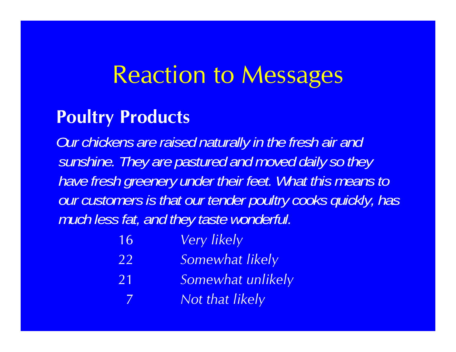#### **Poultry Products**

7

*Our chickens are raised naturally in the fresh air and sunshine. They are pastured and moved dail y so they have fresh greenery under their feet. What this means to our customers is that our tender poultry cooks quickly, has much less fat, and they taste wonderful.*

| 16 | <b>Very likely</b> |  |
|----|--------------------|--|
|    |                    |  |

- 22*Somewhat likely*
- 21 *Somewhat unlikel y*
	- *Not that likely*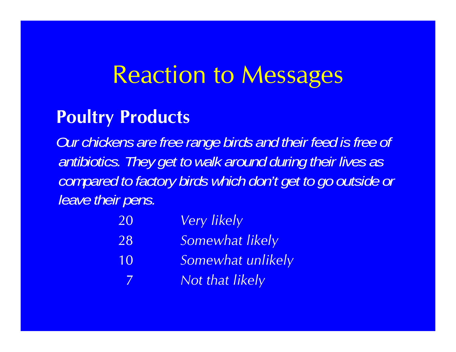#### **Poultry Products**

*Our chickens are free range birds and their feed is free of antibiotics. They get to walk around during their lives as compared to factory birds which don't get to go outside or leave their pens.*

| 20  | <b>Very likely</b> |
|-----|--------------------|
| 28  | Somewhat likely    |
| 10  | Somewhat unlikely  |
| - 7 | Not that likely    |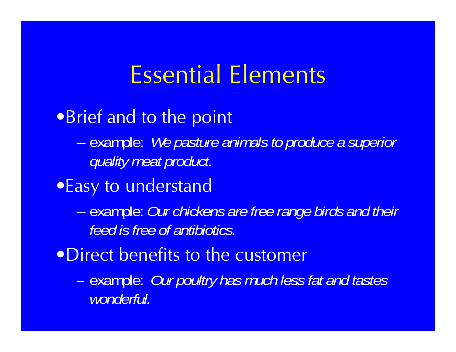## Essential Elements

•Brief and to the point

– example: *We pasture animals to produce a superior quality meat product.*

•Easy to understand

– example: *Our chickens are free range birds and their feed is free of antibiotics.*

•Direct benefits to the customer

– example: *Our p y oultr has much less fat and tastes wonderful.*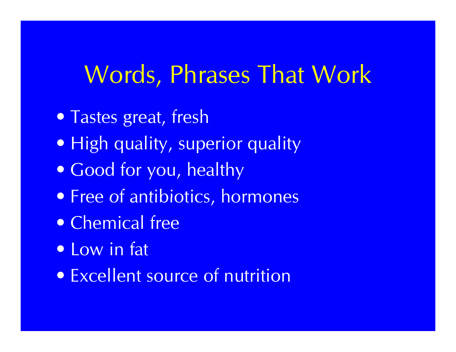## Words, Phrases That Work

- Tastes great, fresh
- High quality, superior quality
- Good for you, healthy
- Free of antibiotics, hormones
- Chemical free
- Low in fat
- Excellent source of nutrition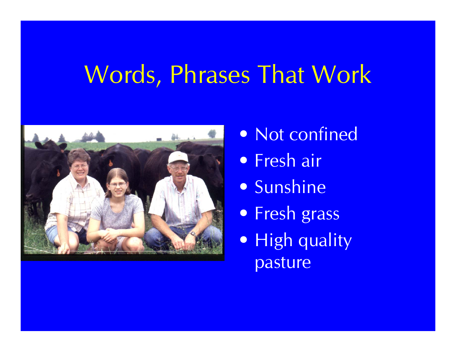# Words, Phrases That Work



- Not confined
- Fresh air
- Sunshine
- Fresh grass
- High quality pasture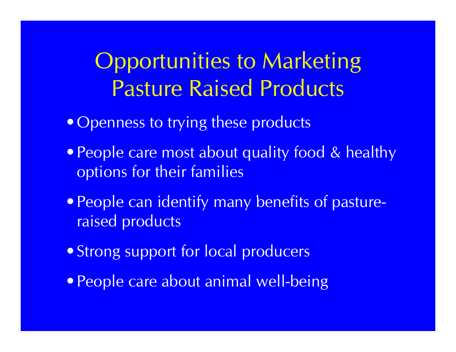### Opportunities to Marketing Pasture Raised Products

- Openness to trying these products
- People care most about quality food & healthy options for their families
- People can identify many benefits of pastureraised products
- Strong support for local producers
- People care about animal well-being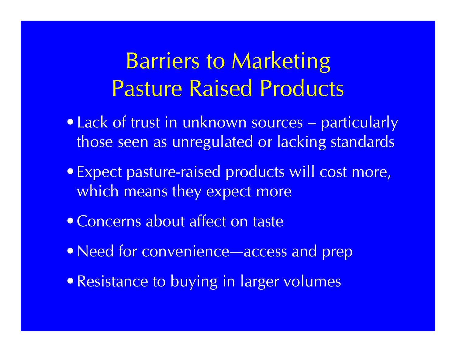### Barriers to Marketing Pasture Raised Products

- Lack of trust in unknown sources particularly those seen as unregulated or lacking standards
- Expect pasture-raised products will cost more, which means they expect more
- Concerns about affect on taste
- Need for convenience—access and prep
- Resistance to buying in larger volumes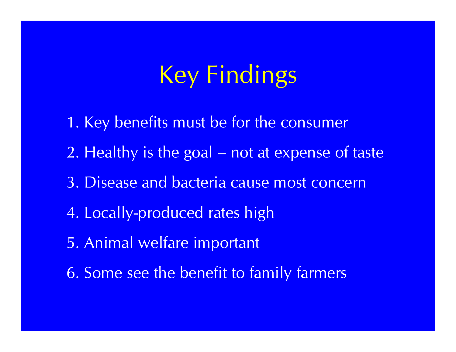# Key Findings

- 1. Key benefits must be for the consumer
- 2. Healthy is the goal not at expense of taste
- 3. Disease and bacteria cause most concern
- 4. Locally-produced rates high
- 5. Animal welfare important
- 6. Some see the benefit to family farmers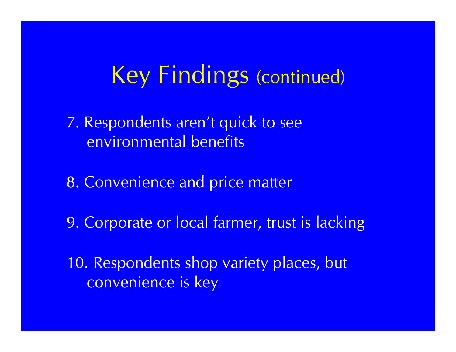## Key Findings (continued)

- 7. Respondents aren't quick to see environmental benefits
- 8. Convenience and price matter
- 9. Corporate or local farmer, trust is lacking
- 10. Respondents shop variety places, but convenience is key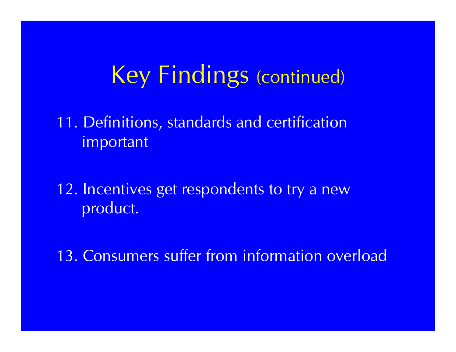### Key Findings (continued)

11. Definitions, standards and certification important

12. Incentives get respondents to try a new product.

13. Consumers suffer from information overload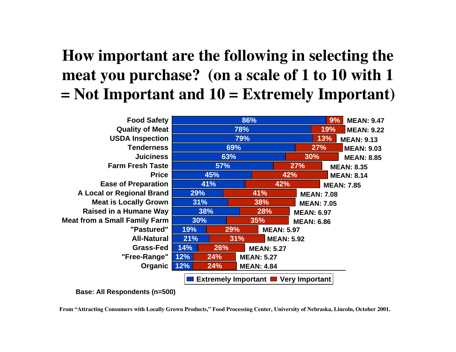#### **How important are the following in selecting the meat you purchase? (on a scale of 1 to 10 with 1 = Not Important and 10 = Extremely Important)**

| <b>Food Safety</b>                                    | 86%               |                   |                   |                   | 9%<br><b>MEAN: 9.47</b> |  |
|-------------------------------------------------------|-------------------|-------------------|-------------------|-------------------|-------------------------|--|
| <b>Quality of Meat</b>                                | 78%               |                   |                   | 19%               | <b>MEAN: 9.22</b>       |  |
| <b>USDA Inspection</b>                                | 79%               |                   |                   | 13%               | <b>MEAN: 9.13</b>       |  |
| <b>Tenderness</b>                                     |                   | 69%               |                   | 27%               | <b>MEAN: 9.03</b>       |  |
| <b>Juiciness</b>                                      | 63%               |                   |                   | 30%               | <b>MEAN: 8.85</b>       |  |
| <b>Farm Fresh Taste</b>                               | 57%               |                   | 27%               |                   | <b>MEAN: 8.35</b>       |  |
| <b>Price</b>                                          | 45%               |                   | 42%               |                   | <b>MEAN: 8.14</b>       |  |
| <b>Ease of Preparation</b>                            | 41%               |                   | 42%               |                   | <b>MEAN: 7.85</b>       |  |
| A Local or Regional Brand                             | 29%               | <b>41%</b>        |                   | <b>MEAN: 7.08</b> |                         |  |
| <b>Meat is Locally Grown</b>                          | 31%               | 38%               |                   | <b>MEAN: 7.05</b> |                         |  |
| <b>Raised in a Humane Way</b>                         | 38%               | 28%               |                   | <b>MEAN: 6.97</b> |                         |  |
| <b>Meat from a Small Family Farm</b>                  | 30%               | 35%               | <b>MEAN: 6.86</b> |                   |                         |  |
| "Pastured"                                            | 19%               | <b>29%</b>        | <b>MEAN: 5.97</b> |                   |                         |  |
| <b>All-Natural</b>                                    | 21%               | 31%               | <b>MEAN: 5.92</b> |                   |                         |  |
| <b>Grass-Fed</b>                                      | 14%<br>26%        | <b>MEAN: 5.27</b> |                   |                   |                         |  |
| "Free-Range"                                          | 12%<br>24%        | <b>MEAN: 5.27</b> |                   |                   |                         |  |
| <b>Organic</b>                                        | 12%<br><b>24%</b> | <b>MEAN: 4.84</b> |                   |                   |                         |  |
| <b>Extremely Important I</b><br><b>Very Important</b> |                   |                   |                   |                   |                         |  |

**Base: All Respondents (n=500)**

**From "Attracting Consumers with Locally Grown Products," Food Processing Center, University of Nebraska, Lincoln, October 2001.**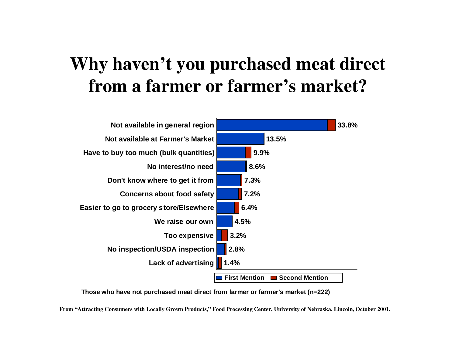#### **Why haven't you purchased meat direct from a farmer or farmer's market?**



**Those who have not purchased meat direct from farmer or farmer's market (n=222)**

**From "Attracting Consumers with Locally Grown Products," Food Processing Center, University of Nebraska, Lincoln, October 2001.**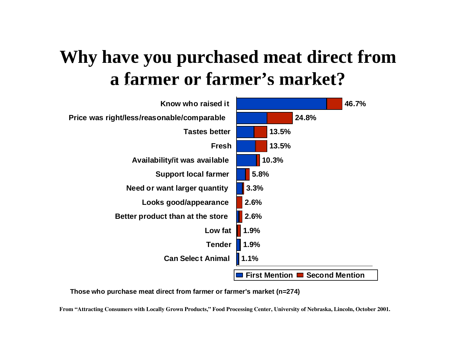#### **Why yp have you purchased meat direct from a farmer or farmer's market?**



**Those who purchase meat direct from farmer or farmer's market (n=274)**

**From "Attracting Consumers with Locally Grown Products," Food Processing Center, University of Nebraska, Lincoln, October 2001.**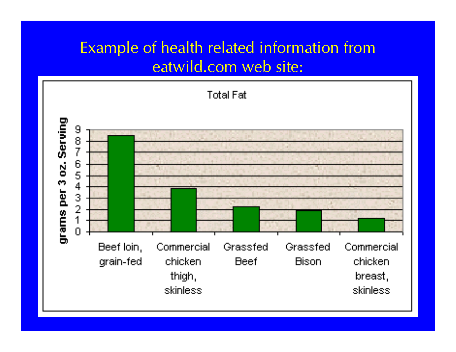#### Example of health related information from eatwild.com web site:

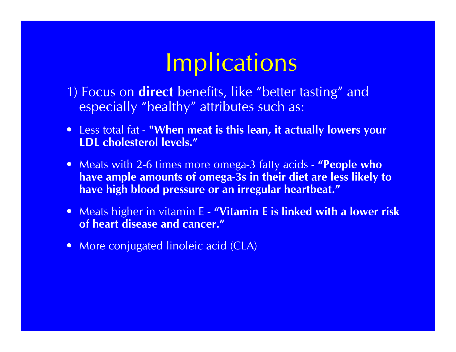## **Implications**

- 1) Focus on **direct** benefits, like "better tasting" and especially "healthy" attributes such as:
- Less total fat **"When meat is this lean, it actually lowers your LDL cholesterol levels."**
- Meats with 2-6 times more omega-3 fatty acids **"People who have ample amounts of omega-3s in their diet are less likely to have high blood pressure or an irregular heartbeat."**
- Meats higher in vitamin E **"Vitamin E is linked with a lower risk of heart disease and cancer."**
- More conjugated linoleic acid (CLA)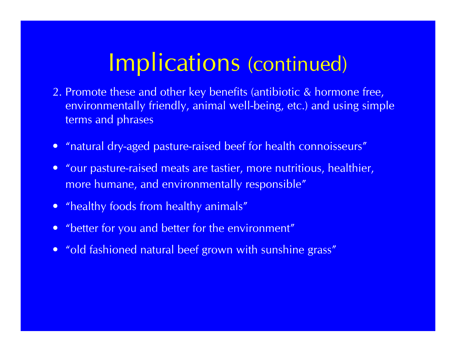- 2. Promote these and other key benefits (antibiotic & hormone free, environmentally friendly, animal well-being, etc.) and using simple terms and phrases
- "natural dry-aged pasture-raised beef for health connoisseurs"
- "our pasture-raised meats are tastier, more nutritious, healthier, more humane, and environmentally responsible"
- "healthy foods from healthy animals"
- "better for you and better for the environment"
- "old fashioned natural beef grown with sunshine grass"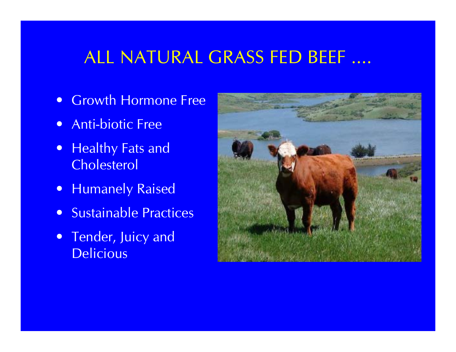#### ALL NATURAL GRASS FED BEEF ....

- Growth Hormone Free
- Anti-biotic Free
- Healthy Fats and **Cholesterol**
- **Humanely Raised**
- Sustainable Practices
- Tender, Juicy and **Delicious**

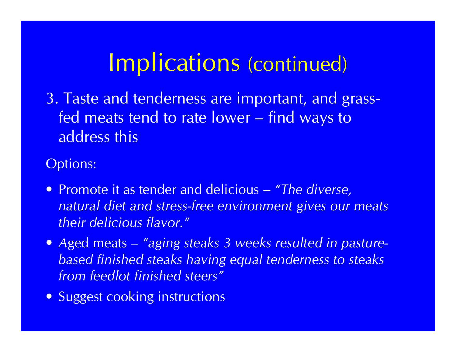3. Taste and tenderness are important, and grassfed meats tend to rate lower – find ways to address this

Options:

- Promote it as tender and delicious **–** *"The diverse, natural diet and stress-free environment gives our meats their delicious flavor."*
- *A*ged meats *"aging steaks 3 weeks resulted in pasturebased finished steaks having equal tenderness to steaks from feedlot finished steers"*
- Suggest cooking instructions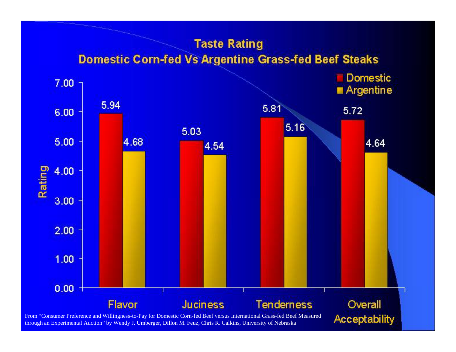#### **Taste Rating Domestic Corn-fed Vs Argentine Grass-fed Beef Steaks**



through an Experimental Auction" by Wendy J. Umberger, Dillon M. Feuz, Chris R. Calkins, University of Nebraska

**Acceptability**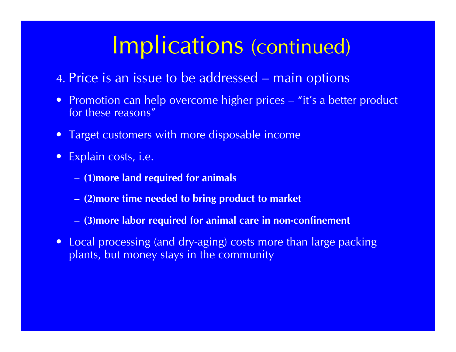- 4. Price is an issue to be addressed main options
- Promotion can help overcome higher prices "it's a better product for these reasons"
- $\bullet$ Target customers with more disposable income
- Explain costs, i.e.
	- **(1)more land required for animals**
	- **(2)more time needed to bring product to market**
	- **(3)more labor required for animal care in non-confinement**
- Local processing (and dry-aging) costs more than large packing plants, but money stays in the community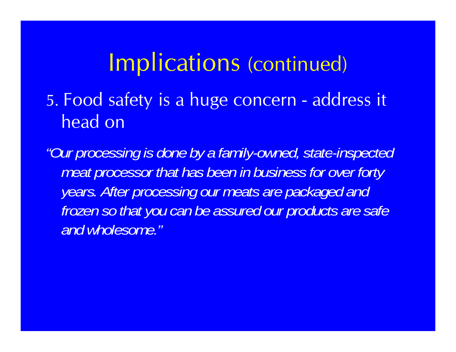5. Food safety is a huge concern - address it head on

*"Our processing is done by a family-owned state owned, state-inspected inspected meat processor that has been in business for over forty y p g pg ears. After processing our meats are packaged and frozen so that you can be assured our products are safe and wholesome."*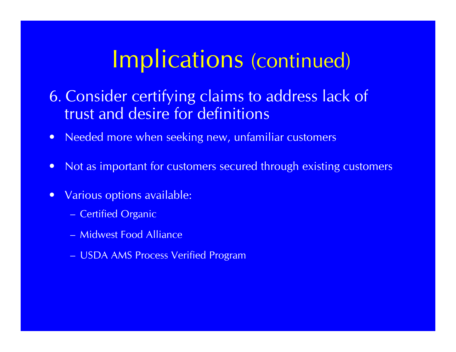6. Consider certifying claims to address lack of trust and desire for definitions

- $\bullet$ Needed more when seeking new, unfamiliar customers
- •Not as important for customers secured through existing customers
- $\bullet$  Various options available:
	- Certified Organic
	- Midwest Food Alliance
	- USDA AMS Process Verified Program